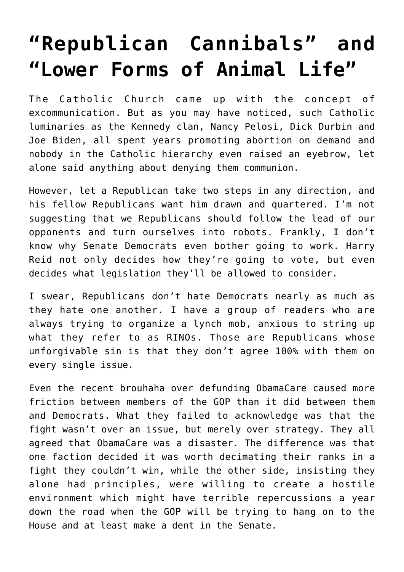## **["Republican Cannibals" and](https://bernardgoldberg.com/open-2/) ["Lower Forms of Animal Life"](https://bernardgoldberg.com/open-2/)**

The Catholic Church came up with the concept of excommunication. But as you may have noticed, such Catholic luminaries as the Kennedy clan, Nancy Pelosi, Dick Durbin and Joe Biden, all spent years promoting abortion on demand and nobody in the Catholic hierarchy even raised an eyebrow, let alone said anything about denying them communion.

However, let a Republican take two steps in any direction, and his fellow Republicans want him drawn and quartered. I'm not suggesting that we Republicans should follow the lead of our opponents and turn ourselves into robots. Frankly, I don't know why Senate Democrats even bother going to work. Harry Reid not only decides how they're going to vote, but even decides what legislation they'll be allowed to consider.

I swear, Republicans don't hate Democrats nearly as much as they hate one another. I have a group of readers who are always trying to organize a lynch mob, anxious to string up what they refer to as RINOs. Those are Republicans whose unforgivable sin is that they don't agree 100% with them on every single issue.

Even the recent brouhaha over defunding ObamaCare caused more friction between members of the GOP than it did between them and Democrats. What they failed to acknowledge was that the fight wasn't over an issue, but merely over strategy. They all agreed that ObamaCare was a disaster. The difference was that one faction decided it was worth decimating their ranks in a fight they couldn't win, while the other side, insisting they alone had principles, were willing to create a hostile environment which might have terrible repercussions a year down the road when the GOP will be trying to hang on to the House and at least make a dent in the Senate.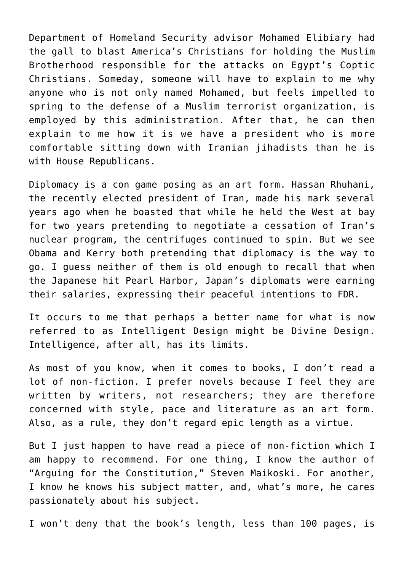Department of Homeland Security advisor Mohamed Elibiary had the gall to blast America's Christians for holding the Muslim Brotherhood responsible for the attacks on Egypt's Coptic Christians. Someday, someone will have to explain to me why anyone who is not only named Mohamed, but feels impelled to spring to the defense of a Muslim terrorist organization, is employed by this administration. After that, he can then explain to me how it is we have a president who is more comfortable sitting down with Iranian jihadists than he is with House Republicans.

Diplomacy is a con game posing as an art form. Hassan Rhuhani, the recently elected president of Iran, made his mark several years ago when he boasted that while he held the West at bay for two years pretending to negotiate a cessation of Iran's nuclear program, the centrifuges continued to spin. But we see Obama and Kerry both pretending that diplomacy is the way to go. I guess neither of them is old enough to recall that when the Japanese hit Pearl Harbor, Japan's diplomats were earning their salaries, expressing their peaceful intentions to FDR.

It occurs to me that perhaps a better name for what is now referred to as Intelligent Design might be Divine Design. Intelligence, after all, has its limits.

As most of you know, when it comes to books, I don't read a lot of non-fiction. I prefer novels because I feel they are written by writers, not researchers; they are therefore concerned with style, pace and literature as an art form. Also, as a rule, they don't regard epic length as a virtue.

But I just happen to have read a piece of non-fiction which I am happy to recommend. For one thing, I know the author of "Arguing for the Constitution," Steven Maikoski. For another, I know he knows his subject matter, and, what's more, he cares passionately about his subject.

I won't deny that the book's length, less than 100 pages, is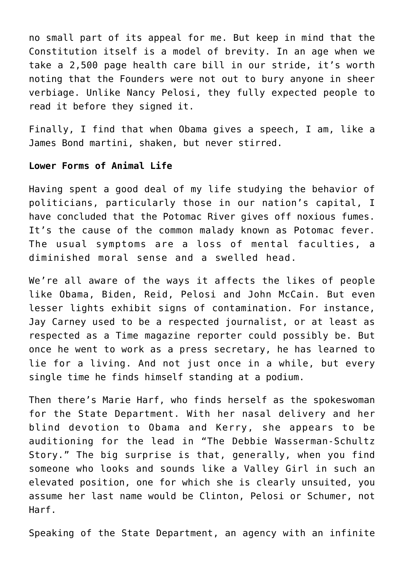no small part of its appeal for me. But keep in mind that the Constitution itself is a model of brevity. In an age when we take a 2,500 page health care bill in our stride, it's worth noting that the Founders were not out to bury anyone in sheer verbiage. Unlike Nancy Pelosi, they fully expected people to read it before they signed it.

Finally, I find that when Obama gives a speech, I am, like a James Bond martini, shaken, but never stirred.

## **Lower Forms of Animal Life**

Having spent a good deal of my life studying the behavior of politicians, particularly those in our nation's capital, I have concluded that the Potomac River gives off noxious fumes. It's the cause of the common malady known as Potomac fever. The usual symptoms are a loss of mental faculties, a diminished moral sense and a swelled head.

We're all aware of the ways it affects the likes of people like Obama, Biden, Reid, Pelosi and John McCain. But even lesser lights exhibit signs of contamination. For instance, Jay Carney used to be a respected journalist, or at least as respected as a Time magazine reporter could possibly be. But once he went to work as a press secretary, he has learned to lie for a living. And not just once in a while, but every single time he finds himself standing at a podium.

Then there's Marie Harf, who finds herself as the spokeswoman for the State Department. With her nasal delivery and her blind devotion to Obama and Kerry, she appears to be auditioning for the lead in "The Debbie Wasserman-Schultz Story." The big surprise is that, generally, when you find someone who looks and sounds like a Valley Girl in such an elevated position, one for which she is clearly unsuited, you assume her last name would be Clinton, Pelosi or Schumer, not Harf.

Speaking of the State Department, an agency with an infinite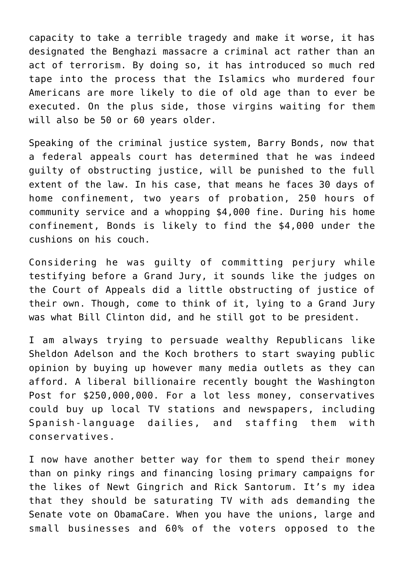capacity to take a terrible tragedy and make it worse, it has designated the Benghazi massacre a criminal act rather than an act of terrorism. By doing so, it has introduced so much red tape into the process that the Islamics who murdered four Americans are more likely to die of old age than to ever be executed. On the plus side, those virgins waiting for them will also be 50 or 60 years older.

Speaking of the criminal justice system, Barry Bonds, now that a federal appeals court has determined that he was indeed guilty of obstructing justice, will be punished to the full extent of the law. In his case, that means he faces 30 days of home confinement, two years of probation, 250 hours of community service and a whopping \$4,000 fine. During his home confinement, Bonds is likely to find the \$4,000 under the cushions on his couch.

Considering he was guilty of committing perjury while testifying before a Grand Jury, it sounds like the judges on the Court of Appeals did a little obstructing of justice of their own. Though, come to think of it, lying to a Grand Jury was what Bill Clinton did, and he still got to be president.

I am always trying to persuade wealthy Republicans like Sheldon Adelson and the Koch brothers to start swaying public opinion by buying up however many media outlets as they can afford. A liberal billionaire recently bought the Washington Post for \$250,000,000. For a lot less money, conservatives could buy up local TV stations and newspapers, including Spanish-language dailies, and staffing them with conservatives.

I now have another better way for them to spend their money than on pinky rings and financing losing primary campaigns for the likes of Newt Gingrich and Rick Santorum. It's my idea that they should be saturating TV with ads demanding the Senate vote on ObamaCare. When you have the unions, large and small businesses and 60% of the voters opposed to the